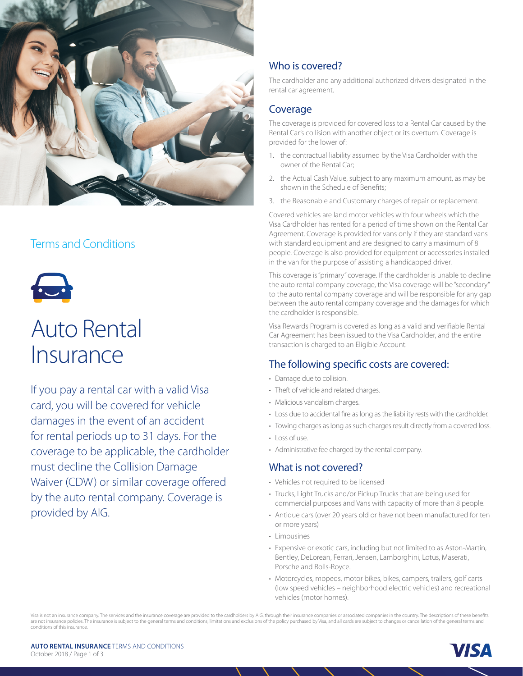

# Terms and Conditions



# Auto Rental **Insurance**

If you pay a rental car with a valid Visa card, you will be covered for vehicle damages in the event of an accident for rental periods up to 31 days. For the coverage to be applicable, the cardholder must decline the Collision Damage Waiver (CDW) or similar coverage offered by the auto rental company. Coverage is provided by AIG.

# Who is covered?

The cardholder and any additional authorized drivers designated in the rental car agreement.

## Coverage

The coverage is provided for covered loss to a Rental Car caused by the Rental Car's collision with another object or its overturn. Coverage is provided for the lower of:

- 1. the contractual liability assumed by the Visa Cardholder with the owner of the Rental Car;
- 2. the Actual Cash Value, subject to any maximum amount, as may be shown in the Schedule of Benefits;
- 3. the Reasonable and Customary charges of repair or replacement.

Covered vehicles are land motor vehicles with four wheels which the Visa Cardholder has rented for a period of time shown on the Rental Car Agreement. Coverage is provided for vans only if they are standard vans with standard equipment and are designed to carry a maximum of 8 people. Coverage is also provided for equipment or accessories installed in the van for the purpose of assisting a handicapped driver.

This coverage is "primary" coverage. If the cardholder is unable to decline the auto rental company coverage, the Visa coverage will be "secondary" to the auto rental company coverage and will be responsible for any gap between the auto rental company coverage and the damages for which the cardholder is responsible.

Visa Rewards Program is covered as long as a valid and verifiable Rental Car Agreement has been issued to the Visa Cardholder, and the entire transaction is charged to an Eligible Account.

# The following specific costs are covered:

- Damage due to collision.
- Theft of vehicle and related charges.
- Malicious vandalism charges.
- Loss due to accidental fire as long as the liability rests with the cardholder.
- Towing charges as long as such charges result directly from a covered loss.
- Loss of use.
- Administrative fee charged by the rental company.

## What is not covered?

- Vehicles not required to be licensed
- Trucks, Light Trucks and/or Pickup Trucks that are being used for commercial purposes and Vans with capacity of more than 8 people.
- Antique cars (over 20 years old or have not been manufactured for ten or more years)
- Limousines
- Expensive or exotic cars, including but not limited to as Aston-Martin, Bentley, DeLorean, Ferrari, Jensen, Lamborghini, Lotus, Maserati, Porsche and Rolls-Royce.
- Motorcycles, mopeds, motor bikes, bikes, campers, trailers, golf carts (low speed vehicles – neighborhood electric vehicles) and recreational vehicles (motor homes).

Visa is not an insurance company. The services and the insurance coverage are provided to the cardholders by AIG, through their insurance companies or associated companies in the country. The descriptions of these benefits are not insurance policies. The insurance is subject to the general terms and conditions, limitations and exclusions of the policy purchased by Visa, and all cards are subject to changes or cancellation of the general term conditions of this insurance.

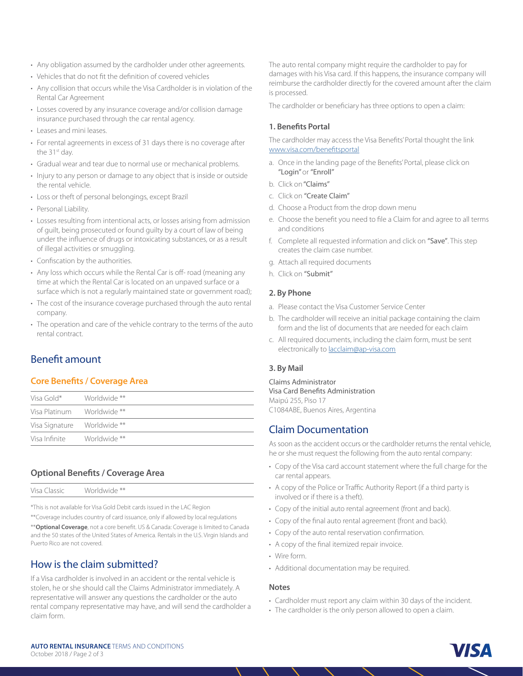- Any obligation assumed by the cardholder under other agreements.
- Vehicles that do not fit the definition of covered vehicles
- Any collision that occurs while the Visa Cardholder is in violation of the Rental Car Agreement
- Losses covered by any insurance coverage and/or collision damage insurance purchased through the car rental agency.
- Leases and mini leases.
- For rental agreements in excess of 31 days there is no coverage after the 31<sup>st</sup> day.
- Gradual wear and tear due to normal use or mechanical problems.
- Injury to any person or damage to any object that is inside or outside the rental vehicle.
- Loss or theft of personal belongings, except Brazil
- Personal Liability.
- Losses resulting from intentional acts, or losses arising from admission of guilt, being prosecuted or found guilty by a court of law of being under the influence of drugs or intoxicating substances, or as a result of illegal activities or smuggling.
- Confiscation by the authorities.
- Any loss which occurs while the Rental Car is off- road (meaning any time at which the Rental Car is located on an unpaved surface or a surface which is not a regularly maintained state or government road);
- The cost of the insurance coverage purchased through the auto rental company.
- The operation and care of the vehicle contrary to the terms of the auto rental contract.

# Benefit amount

### **Core Benefits / Coverage Area**

| Visa Gold*                 | Worldwide ** |
|----------------------------|--------------|
| Visa Platinum Morldwide ** |              |
| Visa Signature             | Worldwide ** |
| Visa Infinite              | Worldwide ** |
|                            |              |

## **Optional Benefits / Coverage Area**

|  | Visa<br>lassic.<br>. | Worldwide ** |
|--|----------------------|--------------|
|--|----------------------|--------------|

\*This is not available for Visa Gold Debit cards issued in the LAC Region

\*\*Coverage includes country of card issuance, only if allowed by local regulations \*\***Optional Coverage**, not a core benefit. US & Canada: Coverage is limited to Canada and the 50 states of the United States of America. Rentals in the U.S. Virgin Islands and Puerto Rico are not covered.

# How is the claim submitted?

If a Visa cardholder is involved in an accident or the rental vehicle is stolen, he or she should call the Claims Administrator immediately. A representative will answer any questions the cardholder or the auto rental company representative may have, and will send the cardholder a claim form.

The auto rental company might require the cardholder to pay for damages with his Visa card. If this happens, the insurance company will reimburse the cardholder directly for the covered amount after the claim is processed.

The cardholder or beneficiary has three options to open a claim:

## **1. Benefits Portal**

The cardholder may access the Visa Benefits' Portal thought the link [www.visa.com/benefitsportal](http://www.visa.com/benefitsportal)

- a. Once in the landing page of the Benefits' Portal, please click on "Login" or "Enroll"
- b. Click on "Claims"
- c. Click on "Create Claim"
- d. Choose a Product from the drop down menu
- e. Choose the benefit you need to file a Claim for and agree to all terms and conditions
- f. Complete all requested information and click on "Save". This step creates the claim case number.
- g. Attach all required documents
- h. Click on "Submit"

#### **2. By Phone**

- a. Please contact the Visa Customer Service Center
- b. The cardholder will receive an initial package containing the claim form and the list of documents that are needed for each claim
- c. All required documents, including the claim form, must be sent electronically to [lacclaim@ap-visa.com](mailto:lacclaim%40ap-visa.com?subject=)

### **3. By Mail**

Claims Administrator Visa Card Benefits Administration Maipú 255, Piso 17 C1084ABE, Buenos Aires, Argentina

# Claim Documentation

As soon as the accident occurs or the cardholder returns the rental vehicle, he or she must request the following from the auto rental company:

- Copy of the Visa card account statement where the full charge for the car rental appears.
- A copy of the Police or Traffic Authority Report (if a third party is involved or if there is a theft).
- Copy of the initial auto rental agreement (front and back).
- Copy of the final auto rental agreement (front and back).
- Copy of the auto rental reservation confirmation.
- A copy of the final itemized repair invoice.
- Wire form.
- Additional documentation may be required.

#### **Notes**

- Cardholder must report any claim within 30 days of the incident.
- The cardholder is the only person allowed to open a claim.